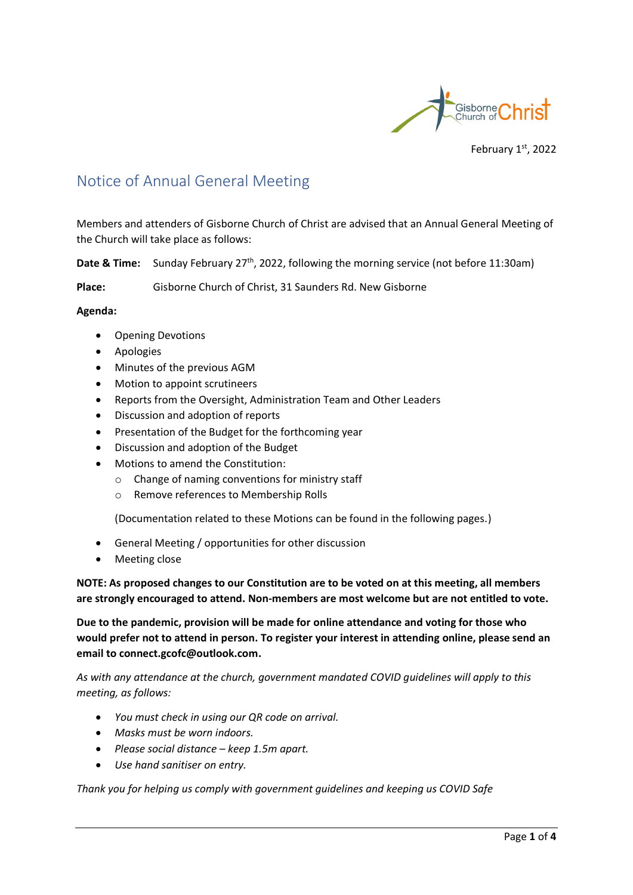

February 1st, 2022

### Notice of Annual General Meeting

Members and attenders of Gisborne Church of Christ are advised that an Annual General Meeting of the Church will take place as follows:

**Date & Time:** Sunday February 27<sup>th</sup>, 2022, following the morning service (not before 11:30am)

**Place:** Gisborne Church of Christ, 31 Saunders Rd. New Gisborne

#### **Agenda:**

- Opening Devotions
- Apologies
- Minutes of the previous AGM
- Motion to appoint scrutineers
- Reports from the Oversight, Administration Team and Other Leaders
- Discussion and adoption of reports
- Presentation of the Budget for the forthcoming year
- Discussion and adoption of the Budget
- Motions to amend the Constitution:
	- o Change of naming conventions for ministry staff
	- o Remove references to Membership Rolls

(Documentation related to these Motions can be found in the following pages.)

- General Meeting / opportunities for other discussion
- Meeting close

**NOTE: As proposed changes to our Constitution are to be voted on at this meeting, all members are strongly encouraged to attend. Non-members are most welcome but are not entitled to vote.**

**Due to the pandemic, provision will be made for online attendance and voting for those who would prefer not to attend in person. To register your interest in attending online, please send an email to connect.gcofc@outlook.com.**

*As with any attendance at the church, government mandated COVID guidelines will apply to this meeting, as follows:*

- *You must check in using our QR code on arrival.*
- *Masks must be worn indoors.*
- *Please social distance – keep 1.5m apart.*
- *Use hand sanitiser on entry.*

*Thank you for helping us comply with government guidelines and keeping us COVID Safe*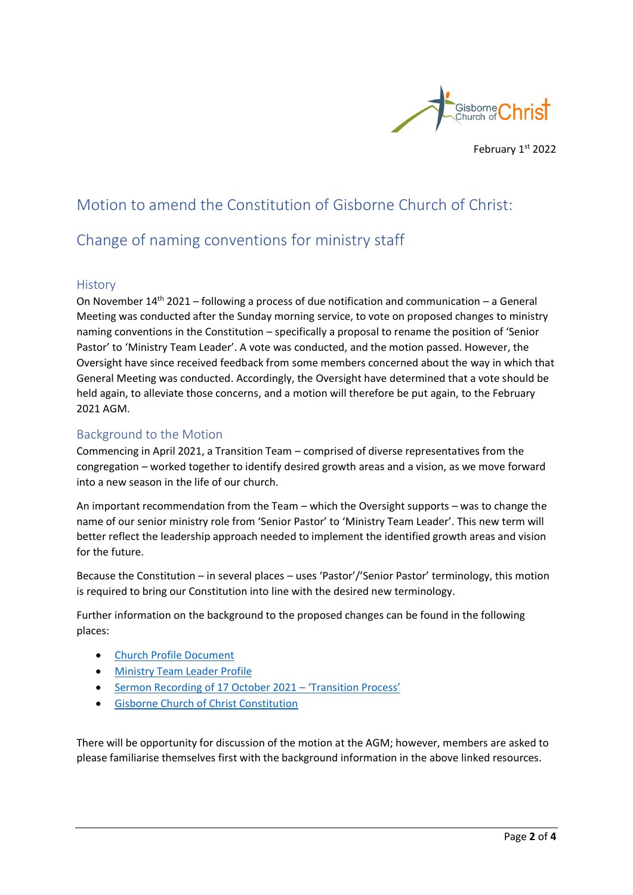

# Motion to amend the Constitution of Gisborne Church of Christ:

## Change of naming conventions for ministry staff

#### **History**

On November  $14^{th}$  2021 – following a process of due notification and communication – a General Meeting was conducted after the Sunday morning service, to vote on proposed changes to ministry naming conventions in the Constitution – specifically a proposal to rename the position of 'Senior Pastor' to 'Ministry Team Leader'. A vote was conducted, and the motion passed. However, the Oversight have since received feedback from some members concerned about the way in which that General Meeting was conducted. Accordingly, the Oversight have determined that a vote should be held again, to alleviate those concerns, and a motion will therefore be put again, to the February 2021 AGM.

### Background to the Motion

Commencing in April 2021, a Transition Team – comprised of diverse representatives from the congregation – worked together to identify desired growth areas and a vision, as we move forward into a new season in the life of our church.

An important recommendation from the Team – which the Oversight supports – was to change the name of our senior ministry role from 'Senior Pastor' to 'Ministry Team Leader'. This new term will better reflect the leadership approach needed to implement the identified growth areas and vision for the future.

Because the Constitution – in several places – uses 'Pastor'/'Senior Pastor' terminology, this motion is required to bring our Constitution into line with the desired new terminology.

Further information on the background to the proposed changes can be found in the following places:

- [Church Profile Document](https://www.gcofc.org.au/uploads/2/2/0/9/22091336/2021_gisborne_church_profile.pdf)
- [Ministry Team Leader Profile](https://www.gcofc.org.au/uploads/2/2/0/9/22091336/2021_gisborne_ministry_team_leader_profile.pdf)
- [Sermon Recording of 17 October 2021](https://www.gcofc.org.au/uploads/2/2/0/9/22091336/sermon_211017_transition_process_-_rob_n.mp3)  'Transition Process'
- [Gisborne Church of Christ Constitution](https://1drv.ms/b/s!AqviOWSpadMQjR57eGy39R5qAKQW?e=BBYPOc)

There will be opportunity for discussion of the motion at the AGM; however, members are asked to please familiarise themselves first with the background information in the above linked resources.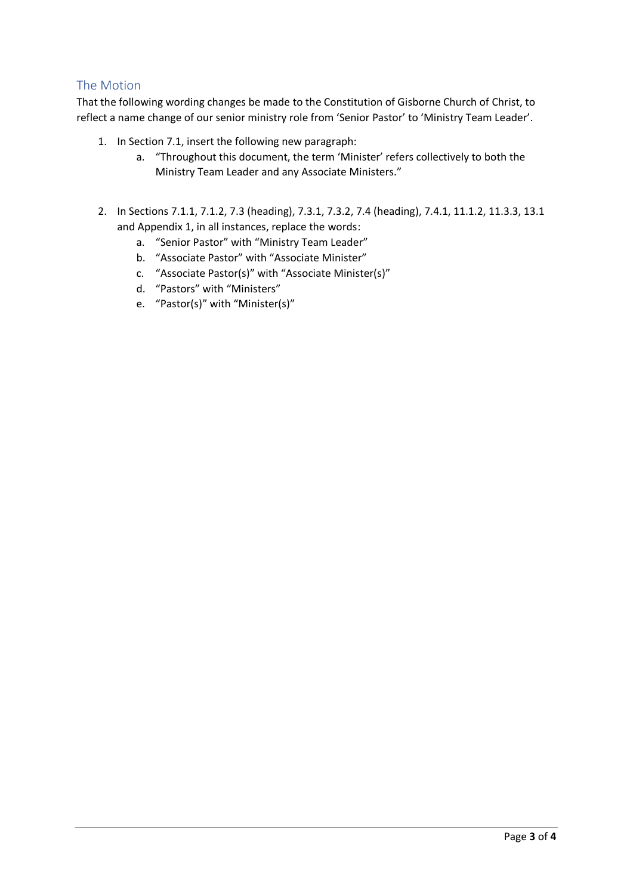### The Motion

That the following wording changes be made to the Constitution of Gisborne Church of Christ, to reflect a name change of our senior ministry role from 'Senior Pastor' to 'Ministry Team Leader'.

- 1. In Section 7.1, insert the following new paragraph:
	- a. "Throughout this document, the term 'Minister' refers collectively to both the Ministry Team Leader and any Associate Ministers."
- 2. In Sections 7.1.1, 7.1.2, 7.3 (heading), 7.3.1, 7.3.2, 7.4 (heading), 7.4.1, 11.1.2, 11.3.3, 13.1 and Appendix 1, in all instances, replace the words:
	- a. "Senior Pastor" with "Ministry Team Leader"
	- b. "Associate Pastor" with "Associate Minister"
	- c. "Associate Pastor(s)" with "Associate Minister(s)"
	- d. "Pastors" with "Ministers"
	- e. "Pastor(s)" with "Minister(s)"